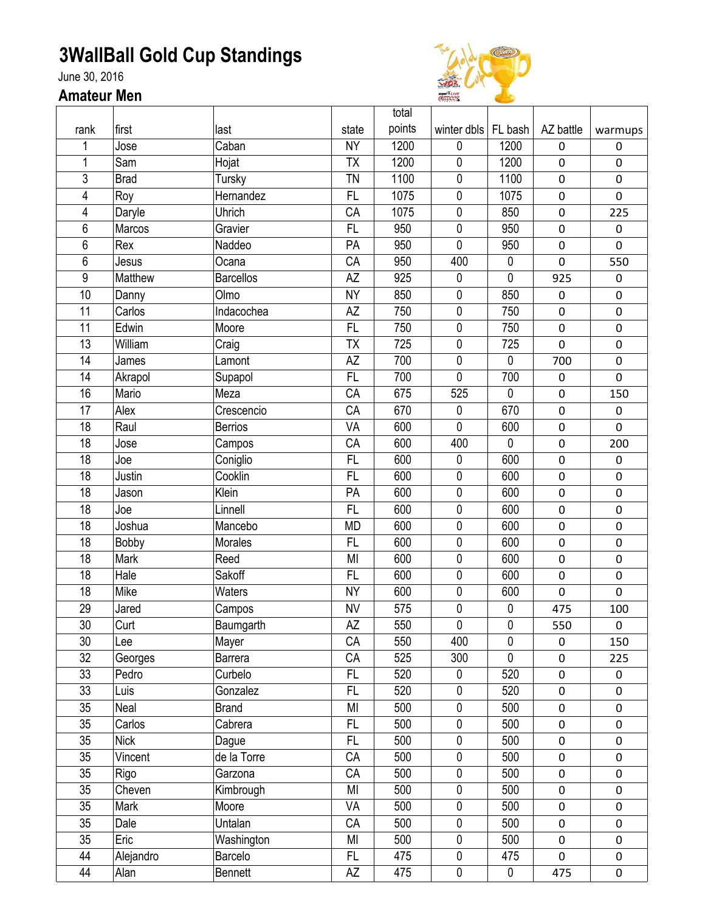## **3WallBall Gold Cup Standings**

June 30, 2016

## **Amateur Men**



|      |             |                  |           | total  |             |             |             |                  |
|------|-------------|------------------|-----------|--------|-------------|-------------|-------------|------------------|
| rank | first       | last             | state     | points | winter dbls | FL bash     | AZ battle   | warmups          |
|      | Jose        | Caban            | <b>NY</b> | 1200   | 0           | 1200        | 0           | 0                |
| 1    | Sam         | Hojat            | TX        | 1200   | $\mathbf 0$ | 1200        | $\pmb{0}$   | $\mathbf 0$      |
| 3    | <b>Brad</b> | Tursky           | <b>TN</b> | 1100   | 0           | 1100        | 0           | $\mathbf 0$      |
| 4    | Roy         | Hernandez        | FL        | 1075   | 0           | 1075        | $\pmb{0}$   | $\mathbf 0$      |
| 4    | Daryle      | Uhrich           | CA        | 1075   | $\mathbf 0$ | 850         | $\pmb{0}$   | 225              |
| 6    | Marcos      | Gravier          | FL        | 950    | $\pmb{0}$   | 950         | $\pmb{0}$   | $\pmb{0}$        |
| 6    | Rex         | Naddeo           | PA        | 950    | 0           | 950         | $\pmb{0}$   | $\mathbf 0$      |
| 6    | Jesus       | Ocana            | CA        | 950    | 400         | $\pmb{0}$   | $\mathbf 0$ | 550              |
| 9    | Matthew     | <b>Barcellos</b> | AZ        | 925    | 0           | $\mathbf 0$ | 925         | $\boldsymbol{0}$ |
| 10   | Danny       | Olmo             | <b>NY</b> | 850    | 0           | 850         | 0           | $\mathbf 0$      |
| 11   | Carlos      | Indacochea       | AZ        | 750    | 0           | 750         | $\pmb{0}$   | $\pmb{0}$        |
| 11   | Edwin       | Moore            | <b>FL</b> | 750    | 0           | 750         | $\pmb{0}$   | $\pmb{0}$        |
| 13   | William     | Craig            | <b>ΤΧ</b> | 725    | 0           | 725         | 0           | $\mathbf 0$      |
| 14   | James       | Lamont           | AZ        | 700    | 0           | $\mathbf 0$ | 700         | $\mathbf 0$      |
| 14   | Akrapol     | Supapol          | <b>FL</b> | 700    | 0           | 700         | $\pmb{0}$   | $\mathbf 0$      |
| 16   | Mario       | Meza             | CA        | 675    | 525         | $\pmb{0}$   | $\pmb{0}$   | 150              |
| 17   | Alex        | Crescencio       | CA        | 670    | $\pmb{0}$   | 670         | 0           | $\pmb{0}$        |
| 18   | Raul        | <b>Berrios</b>   | VA        | 600    | 0           | 600         | $\pmb{0}$   | $\mathbf 0$      |
| 18   | Jose        | Campos           | CA        | 600    | 400         | $\mathbf 0$ | $\pmb{0}$   | 200              |
| 18   | Joe         | Coniglio         | <b>FL</b> | 600    | $\mathbf 0$ | 600         | $\pmb{0}$   | $\pmb{0}$        |
| 18   | Justin      | Cooklin          | <b>FL</b> | 600    | 0           | 600         | 0           | $\mathbf 0$      |
| 18   | Jason       | Klein            | PA        | 600    | 0           | 600         | 0           | $\pmb{0}$        |
| 18   | Joe         | Linnell          | <b>FL</b> | 600    | 0           | 600         | $\pmb{0}$   | $\mathbf 0$      |
| 18   | Joshua      | Mancebo          | <b>MD</b> | 600    | 0           | 600         | 0           | $\mathbf 0$      |
| 18   | Bobby       | Morales          | FL        | 600    | 0           | 600         | $\pmb{0}$   | $\mathbf 0$      |
| 18   | Mark        | Reed             | MI        | 600    | 0           | 600         | $\pmb{0}$   | $\pmb{0}$        |
| 18   | Hale        | Sakoff           | FL        | 600    | 0           | 600         | $\pmb{0}$   | $\pmb{0}$        |
| 18   | Mike        | Waters           | <b>NY</b> | 600    | 0           | 600         | 0           | $\overline{0}$   |
| 29   | Jared       | Campos           | <b>NV</b> | 575    | 0           | $\pmb{0}$   | 475         | 100              |
| 30   | Curt        | Baumgarth        | AΖ        | 550    | 0           | 0           | 550         | $\pmb{0}$        |
| 30   | Lee         | Mayer            | CA        | 550    | 400         | $\mathbf 0$ | 0           | 150              |
| 32   | Georges     | Barrera          | CA        | 525    | 300         | $\mathbf 0$ | $\pmb{0}$   | 225              |
| 33   | Pedro       | Curbelo          | FL        | 520    | $\mathbf 0$ | 520         | $\pmb{0}$   | $\pmb{0}$        |
| 33   | Luis        | Gonzalez         | FL        | 520    | $\pmb{0}$   | 520         | $\pmb{0}$   | $\pmb{0}$        |
| 35   | Neal        | <b>Brand</b>     | MI        | 500    | $\pmb{0}$   | 500         | $\pmb{0}$   | $\pmb{0}$        |
| 35   | Carlos      | Cabrera          | FL        | 500    | $\pmb{0}$   | 500         | 0           | $\pmb{0}$        |
| 35   | <b>Nick</b> | Dague            | FL.       | 500    | $\mathbf 0$ | 500         | $\pmb{0}$   | 0                |
| 35   | Vincent     | de la Torre      | CA        | 500    | $\pmb{0}$   | 500         | 0           | $\mathbf 0$      |
| 35   | Rigo        | Garzona          | CA        | 500    | $\pmb{0}$   | 500         | $\pmb{0}$   | 0                |
| 35   | Cheven      | Kimbrough        | MI        | 500    | $\pmb{0}$   | 500         | $\pmb{0}$   | 0                |
| 35   | Mark        | Moore            | VA        | 500    | 0           | 500         | $\pmb{0}$   | $\mathbf 0$      |
| 35   | Dale        | Untalan          | CA        | 500    | $\mathbf 0$ | 500         | 0           | 0                |
| 35   | Eric        | Washington       | MI        | 500    | $\pmb{0}$   | 500         | $\pmb{0}$   | 0                |
| 44   | Alejandro   | Barcelo          | FL        | 475    | $\pmb{0}$   | 475         | 0           | $\mathsf 0$      |
| 44   | Alan        | Bennett          | AΖ        | 475    | $\pmb{0}$   | $\pmb{0}$   | 475         | 0                |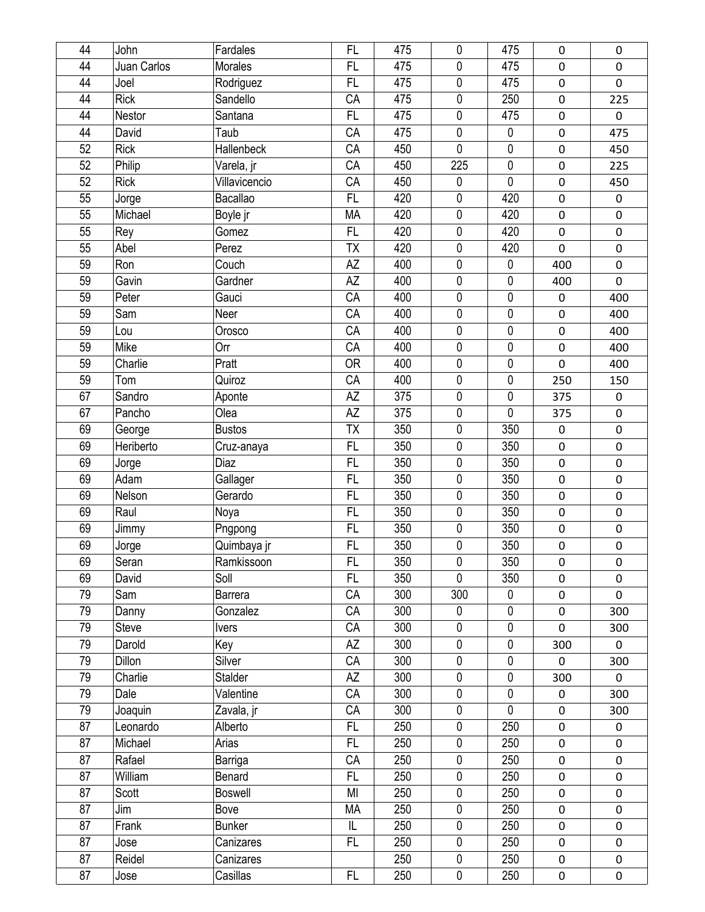| 44 | John        | Fardales       | FL        | 475 | 0         | 475         | $\pmb{0}$        | 0                   |
|----|-------------|----------------|-----------|-----|-----------|-------------|------------------|---------------------|
| 44 | Juan Carlos | <b>Morales</b> | <b>FL</b> | 475 | 0         | 475         | $\pmb{0}$        | $\mathsf 0$         |
| 44 | Joel        | Rodriguez      | FL        | 475 | 0         | 475         | $\pmb{0}$        | 0                   |
| 44 | <b>Rick</b> | Sandello       | CA        | 475 | 0         | 250         | $\boldsymbol{0}$ | 225                 |
| 44 | Nestor      | Santana        | FL        | 475 | 0         | 475         | $\pmb{0}$        | 0                   |
| 44 | David       | Taub           | CA        | 475 | 0         | $\mathbf 0$ | $\pmb{0}$        | 475                 |
| 52 | <b>Rick</b> | Hallenbeck     | CA        | 450 | 0         | $\pmb{0}$   | $\pmb{0}$        | 450                 |
| 52 | Philip      | Varela, jr     | CA        | 450 | 225       | 0           | $\pmb{0}$        | 225                 |
| 52 | <b>Rick</b> | Villavicencio  | CA        | 450 | 0         | 0           | $\boldsymbol{0}$ | 450                 |
| 55 | Jorge       | Bacallao       | <b>FL</b> | 420 | 0         | 420         | $\pmb{0}$        | 0                   |
| 55 | Michael     | Boyle jr       | MA        | 420 | 0         | 420         | $\pmb{0}$        | $\pmb{0}$           |
| 55 | Rey         | Gomez          | FL        | 420 | 0         | 420         | $\pmb{0}$        | $\mathsf 0$         |
| 55 | Abel        | Perez          | <b>ΤΧ</b> | 420 | 0         | 420         | $\mathbf 0$      | 0                   |
| 59 | Ron         | Couch          | AZ        | 400 | 0         | 0           | 400              | $\mathsf 0$         |
| 59 | Gavin       | Gardner        | AZ        | 400 | 0         | 0           | 400              | $\mathsf{O}\xspace$ |
| 59 | Peter       | Gauci          | CA        | 400 | 0         | 0           | $\pmb{0}$        | 400                 |
| 59 | Sam         | Neer           | CA        | 400 | 0         | 0           | $\pmb{0}$        | 400                 |
| 59 | Lou         | Orosco         | CA        | 400 | 0         | 0           | $\pmb{0}$        | 400                 |
| 59 | Mike        | Orr            | CA        | 400 | 0         | 0           | $\pmb{0}$        | 400                 |
| 59 | Charlie     | Pratt          | <b>OR</b> | 400 | 0         | 0           | $\boldsymbol{0}$ | 400                 |
| 59 | Tom         | Quiroz         | CA        | 400 | 0         | 0           | 250              | 150                 |
| 67 | Sandro      | Aponte         | AZ        | 375 | 0         | $\mathbf 0$ | 375              | 0                   |
| 67 | Pancho      | Olea           | AZ        | 375 | $\pmb{0}$ | $\pmb{0}$   | 375              | 0                   |
| 69 | George      | <b>Bustos</b>  | <b>ΤΧ</b> | 350 | 0         | 350         | $\pmb{0}$        | 0                   |
| 69 | Heriberto   | Cruz-anaya     | FL        | 350 | 0         | 350         | $\pmb{0}$        | $\mathbf 0$         |
| 69 | Jorge       | Diaz           | FL        | 350 | 0         | 350         | $\pmb{0}$        | 0                   |
| 69 | Adam        | Gallager       | <b>FL</b> | 350 | 0         | 350         | $\boldsymbol{0}$ | 0                   |
| 69 | Nelson      | Gerardo        | FL        | 350 | 0         | 350         | $\pmb{0}$        | $\pmb{0}$           |
| 69 | Raul        | Noya           | FL        | 350 | 0         | 350         | $\pmb{0}$        | 0                   |
| 69 | Jimmy       | Pngpong        | <b>FL</b> | 350 | 0         | 350         | $\pmb{0}$        | $\mathbf 0$         |
| 69 | Jorge       | Quimbaya jr    | <b>FL</b> | 350 | 0         | 350         | $\pmb{0}$        | $\mathsf 0$         |
| 69 | Seran       | Ramkissoon     | FL        | 350 | $\pmb{0}$ | 350         | $\pmb{0}$        | 0                   |
| 69 | David       | Soll           | FL        | 350 | 0         | 350         | $\pmb{0}$        | 0                   |
| 79 | Sam         | <b>Barrera</b> | CA        | 300 | 300       | $\mathbf 0$ | $\pmb{0}$        | 0                   |
| 79 | Danny       | Gonzalez       | CA        | 300 | 0         | 0           | $\pmb{0}$        | 300                 |
| 79 | Steve       | <b>Ivers</b>   | CA        | 300 | 0         | $\pmb{0}$   | $\pmb{0}$        | 300                 |
| 79 | Darold      | Key            | AZ        | 300 | 0         | $\pmb{0}$   | 300              | 0                   |
| 79 | Dillon      | Silver         | CA        | 300 | $\pmb{0}$ | $\pmb{0}$   | $\pmb{0}$        | 300                 |
| 79 | Charlie     | Stalder        | AZ        | 300 | 0         | 0           | 300              | 0                   |
| 79 | Dale        | Valentine      | CA        | 300 | 0         | 0           | $\pmb{0}$        | 300                 |
| 79 | Joaquin     | Zavala, jr     | CA        | 300 | 0         | $\pmb{0}$   | $\pmb{0}$        | 300                 |
| 87 | Leonardo    | Alberto        | FL        | 250 | 0         | 250         | $\pmb{0}$        | 0                   |
| 87 | Michael     | Arias          | FL        | 250 | 0         | 250         | $\pmb{0}$        | 0                   |
| 87 | Rafael      | Barriga        | CA        | 250 | 0         | 250         | $\pmb{0}$        | 0                   |
| 87 | William     | Benard         | FL        | 250 | 0         | 250         | $\pmb{0}$        | 0                   |
| 87 | Scott       | <b>Boswell</b> | MI        | 250 | 0         | 250         | $\pmb{0}$        | 0                   |
| 87 | Jim         | Bove           | MA        | 250 | 0         | 250         | $\pmb{0}$        | 0                   |
| 87 | Frank       | <b>Bunker</b>  | IL        | 250 | 0         | 250         | $\pmb{0}$        | 0                   |
| 87 | Jose        | Canizares      | FL        | 250 | 0         | 250         | $\pmb{0}$        | 0                   |
| 87 | Reidel      | Canizares      |           | 250 | 0         | 250         | $\pmb{0}$        | 0                   |
| 87 | Jose        | Casillas       | FL        | 250 | $\pmb{0}$ | 250         | $\pmb{0}$        | 0                   |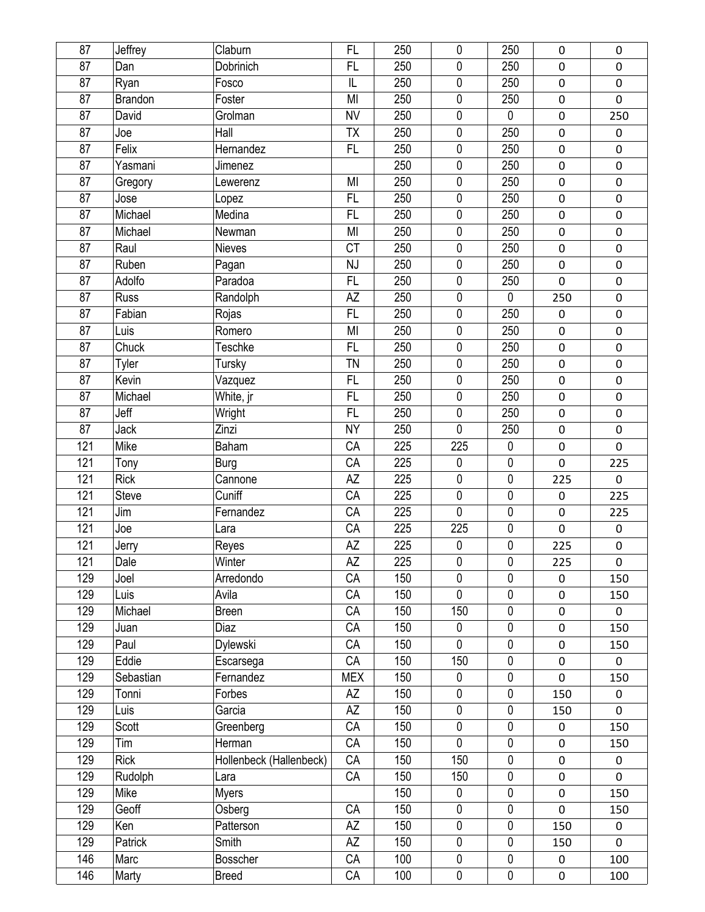| 87  | Jeffrey                | Claburn                 | FL         | 250 | 0           | 250         | $\pmb{0}$        | 0           |
|-----|------------------------|-------------------------|------------|-----|-------------|-------------|------------------|-------------|
| 87  | Dan                    | Dobrinich               | <b>FL</b>  | 250 | 0           | 250         | $\pmb{0}$        | 0           |
| 87  |                        | Fosco                   | IL         | 250 | 0           | 250         | $\pmb{0}$        | 0           |
| 87  | Ryan<br><b>Brandon</b> | Foster                  | MI         | 250 | 0           | 250         | $\boldsymbol{0}$ | 0           |
|     |                        |                         |            |     |             |             |                  |             |
| 87  | David                  | Grolman                 | <b>NV</b>  | 250 | 0           | $\pmb{0}$   | $\pmb{0}$        | 250         |
| 87  | Joe                    | Hall                    | TX         | 250 | 0           | 250         | $\pmb{0}$        | $\pmb{0}$   |
| 87  | Felix                  | Hernandez               | FL         | 250 | 0           | 250         | $\pmb{0}$        | 0           |
| 87  | Yasmani                | Jimenez                 |            | 250 | 0           | 250         | $\pmb{0}$        | 0           |
| 87  | Gregory                | Lewerenz                | MI         | 250 | 0           | 250         | $\pmb{0}$        | 0           |
| 87  | Jose                   | Lopez                   | <b>FL</b>  | 250 | 0           | 250         | $\pmb{0}$        | 0           |
| 87  | Michael                | Medina                  | FL         | 250 | 0           | 250         | $\pmb{0}$        | 0           |
| 87  | Michael                | Newman                  | MI         | 250 | 0           | 250         | $\mathbf 0$      | 0           |
| 87  | Raul                   | <b>Nieves</b>           | <b>CT</b>  | 250 | $\pmb{0}$   | 250         | $\pmb{0}$        | 0           |
| 87  | Ruben                  | Pagan                   | NJ         | 250 | $\pmb{0}$   | 250         | $\pmb{0}$        | 0           |
| 87  | Adolfo                 | Paradoa                 | FL         | 250 | 0           | 250         | $\mathbf 0$      | 0           |
| 87  | <b>Russ</b>            | Randolph                | AZ         | 250 | 0           | 0           | 250              | 0           |
| 87  | Fabian                 | Rojas                   | FL         | 250 | 0           | 250         | $\pmb{0}$        | 0           |
| 87  | Luis                   | Romero                  | MI         | 250 | 0           | 250         | $\pmb{0}$        | $\mathbf 0$ |
| 87  | Chuck                  | <b>Teschke</b>          | FL         | 250 | 0           | 250         | $\pmb{0}$        | 0           |
| 87  | Tyler                  | Tursky                  | <b>TN</b>  | 250 | 0           | 250         | $\pmb{0}$        | $\mathsf 0$ |
| 87  | Kevin                  | Vazquez                 | FL         | 250 | 0           | 250         | $\pmb{0}$        | 0           |
| 87  | Michael                | White, jr               | FL         | 250 | 0           | 250         | $\mathbf 0$      | 0           |
| 87  | Jeff                   | Wright                  | <b>FL</b>  | 250 | $\pmb{0}$   | 250         | $\pmb{0}$        | 0           |
| 87  | Jack                   | Zinzi                   | <b>NY</b>  | 250 | 0           | 250         | $\pmb{0}$        | 0           |
| 121 | Mike                   | Baham                   | CA         | 225 | 225         | $\pmb{0}$   | $\pmb{0}$        | 0           |
| 121 | Tony                   | <b>Burg</b>             | CA         | 225 | 0           | 0           | $\mathbf 0$      | 225         |
| 121 | <b>Rick</b>            | Cannone                 | AZ         | 225 | 0           | 0           | 225              | 0           |
| 121 | Steve                  | Cuniff                  | CA         | 225 | 0           | 0           | $\pmb{0}$        | 225         |
| 121 | Jim                    | Fernandez               | CA         | 225 | 0           | $\pmb{0}$   | $\pmb{0}$        | 225         |
| 121 | Joe                    | Lara                    | CA         | 225 | 225         | 0           | $\mathbf 0$      | 0           |
| 121 | Jerry                  | Reyes                   | AZ         | 225 | 0           | 0           | 225              | 0           |
| 121 | Dale                   | Winter                  | AΖ         | 225 | 0           | 0           | 225              | 0           |
| 129 | Joel                   | Arredondo               | CA         | 150 | 0           | 0           | $\pmb{0}$        | 150         |
| 129 | Luis                   | Avila                   | CA         | 150 | 0           | 0           | $\pmb{0}$        | 150         |
| 129 | Michael                | <b>Breen</b>            | CA         | 150 | 150         | 0           | $\mathbf 0$      | 0           |
| 129 | Juan                   | Diaz                    | CA         | 150 | 0           | $\pmb{0}$   | $\pmb{0}$        | 150         |
| 129 | Paul                   | Dylewski                | CA         | 150 | 0           | 0           | $\pmb{0}$        | 150         |
| 129 | Eddie                  | Escarsega               | CA         | 150 | 150         | 0           | $\pmb{0}$        | 0           |
| 129 | Sebastian              | Fernandez               | <b>MEX</b> | 150 | 0           | 0           | $\mathbf 0$      | 150         |
| 129 | Tonni                  | Forbes                  | AZ         | 150 | 0           | 0           |                  | 0           |
|     |                        | Garcia                  |            |     | $\pmb{0}$   | $\pmb{0}$   | 150              |             |
| 129 | Luis                   |                         | AZ         | 150 |             |             | 150              | 0           |
| 129 | Scott                  | Greenberg               | CA         | 150 | 0           | $\mathbf 0$ | $\pmb{0}$        | 150         |
| 129 | Tim                    | Herman                  | CA         | 150 | $\mathbf 0$ | 0           | $\pmb{0}$        | 150         |
| 129 | Rick                   | Hollenbeck (Hallenbeck) | CA         | 150 | 150         | 0           | $\pmb{0}$        | 0           |
| 129 | Rudolph                | Lara                    | CA         | 150 | 150         | 0           | $\pmb{0}$        | 0           |
| 129 | Mike                   | <b>Myers</b>            |            | 150 | 0           | 0           | $\pmb{0}$        | 150         |
| 129 | Geoff                  | Osberg                  | CA         | 150 | 0           | 0           | $\mathbf 0$      | 150         |
| 129 | Ken                    | Patterson               | AZ         | 150 | 0           | 0           | 150              | 0           |
| 129 | Patrick                | Smith                   | AZ         | 150 | 0           | $\mathbf 0$ | 150              | 0           |
| 146 | Marc                   | Bosscher                | CA         | 100 | 0           | 0           | $\pmb{0}$        | 100         |
| 146 | Marty                  | <b>Breed</b>            | CA         | 100 | 0           | $\pmb{0}$   | $\pmb{0}$        | 100         |